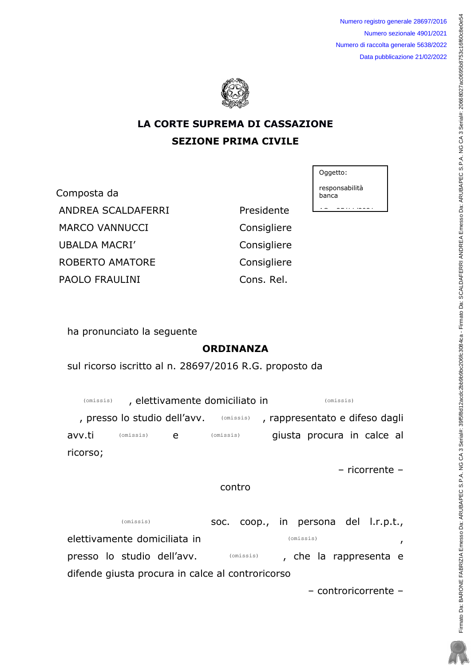Numero registro generale 28697/2016 Numero sezionale 4901/2021 Numero di raccolta generale 5638/2022 Data pubblicazione 21/02/2022



# LA CORTE SUPREMA DI CASSAZIONE **SEZIONE PRIMA CIVILE**

Composta da ANDREA SCALDAFERRI Presidente MARCO VANNUCCI **Consigliere** UBALDA MACRI' ROBERTO AMATORE PAOLO FRAULINI

Consigliere Consigliere Cons. Rel.

Oggetto:

responsabilità banca

<u>ce = servicess</u>

ha pronunciato la seguente

# ORDINANZA

sul ricorso iscritto al n. 28697/2016 R.G. proposto da

, elettivamente domiciliato in , presso lo studio dell'avv. ( omissis) , rappresentato e difeso dagli avv.ti (omissis) e (omissis) giusta procura in calce al ricorso; (omissis) (omissis) (omissis) (omissis) (omissis)

- ricorrente -

### contro

soc. coop., in persona del l.r.p.t., elettivamente domiciliata in presso lo studio dell'avv. **COLACCESS** omissis and the la rappresenta e difende giusta procura in calce al controricorso (omissis) (omissis) (omissis)

- controricorrente -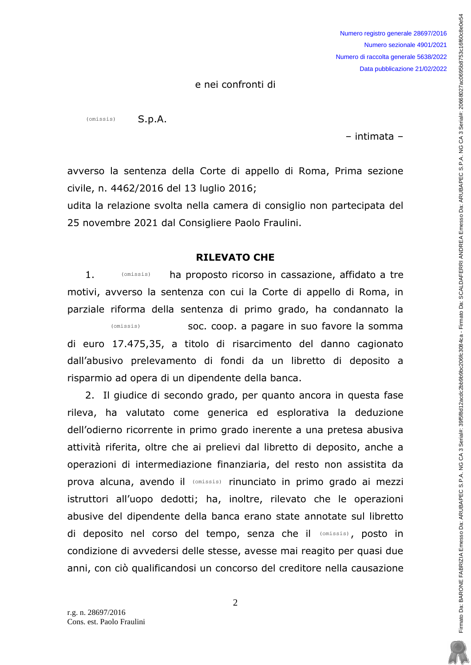e nei confronti di

 $S.p.A.$ (omissis)

- intimata -

Firmato Da: BARONE FABRIZIA Emesso Da: ARUBAPEC S.P.A. NG CA 3 Serial#: 20680650512acdc2bc3084ca - Firmato Da: SCALDAFERRI ANDREA Emesso Da: ARUBAPEC S.P.A. NG CA 3 Serial#: 20668027ac0696b8753c16f60c8e0e54c8e0e54c8e0e3b9b

Firmato Da: BARONE FABRIZIA Emesso Da: ARUBAPEC S.P.A. NG CA 3 Serial#: 39f5f8d12aod2bb9b9b0206fc3084ca - Firmato Da: SCALDAFERRI ANDREA Emesso Da: ARUBAPEC S.P.A. NG CA 3 Serial#: 20668027ac0695b8753c16f60c8e0e54

avverso la sentenza della Corte di appello di Roma, Prima sezione civile, n. 4462/2016 del 13 luglio 2016;

udita la relazione svolta nella camera di consiglio non partecipata del 25 novembre 2021 dal Consigliere Paolo Fraulini.

#### RILEVATO CHE

1. *COM***issis ha proposto ricorso in cassazione, affidato a tre** motivi, avverso la sentenza con cui la Corte di appello di Roma, in parziale riforma della sentenza di primo grado, ha condannato la soc. coop. a pagare in suo favore la somma di euro 17.475,35, a titolo di risarcimento del danno cagionato dall'abusivo prelevamento di fondi da un libretto di deposito a risparmio ad opera di un dipendente della banca. (omissis) (omissis)

2. Il giudice di secondo grado, per quanto ancora in questa fase rileva, ha valutato come generica ed esplorativa la deduzione dell'odierno ricorrente in primo grado inerente a una pretesa abusiva attività riferita, oltre che ai prelievi dal libretto di deposito, anche a operazioni di intermediazione finanziaria, del resto non assistita da prova alcuna, avendo il (omissis) rinunciato in primo grado ai mezzi istruttori all'uopo dedotti; ha, inoltre, rilevato che le operazioni abusive del dipendente della banca erano state annotate sul libretto di deposito nel corso del tempo, senza che il (omissis), posto in condizione di avvedersi delle stesse, avesse mai reagito per quasi due anni, con ciò qualificandosi un concorso del creditore nella causazione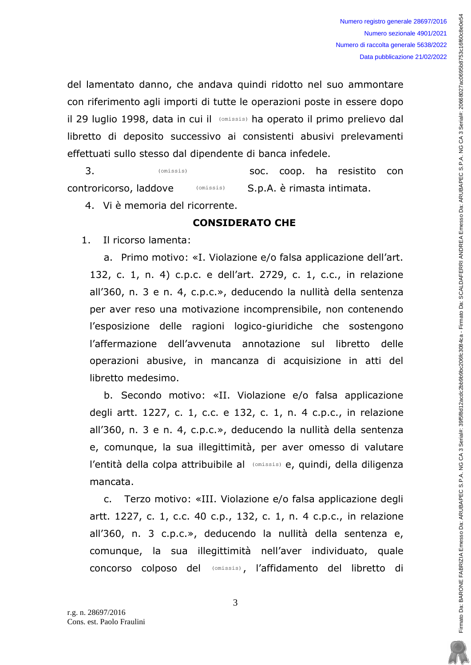Firmato Da: BARONE FABRIZIA Emesso Da: ARUBAPEC S.P.A. NG CA 3 Serial#: 20680650512acdc2bc3084ca - Firmato Da: SCALDAFERRI ANDREA Emesso Da: ARUBAPEC S.P.A. NG CA 3 Serial#: 20668027ac0696b8753c16f60c8e0e54c8e0e54c8e0e3b9b

Firmato Da: BARONE FABRIZIA Emesso Da: ARUBAPEC S.P.A. NG CA 3 Serial#: 39f6f8d12add2bb9b9b9b9b9b90206fc30a-Firmato Da: SCALDAFERRI ANDREA Emesso Da: ARUBAPEC S.P.A. NG CA 3 Serial#: 20668027ac0695b8753c16f60c8e0e5-

del lamentato danno, che andava quindi ridotto nel suo ammontare con riferimento agli importi di tutte le operazioni poste in essere dopo il 29 luglio 1998, data in cui il (Omissis) ha operato il primo prelievo dal libretto di deposito successivo ai consistenti abusivi prelevamenti effettuati sullo stesso dal dipendente di banca infedele.

3. (omissis) **50C. COOP.** ha resistito con controricorso, laddove *CONLEGAC* S.p.A. è rimasta intimata. (omissis) (omissis)

4. Vi è memoria del ricorrente.

## **CONSIDERATO CHE**

1. Il ricorso lamenta:

a. Primo motivo: «I. Violazione e/o falsa applicazione dell'art. 132, c. 1, n. 4) c.p.c. e dell'art. 2729, c. 1, c.c., in relazione all'360, n. 3 e n. 4, c.p.c.», deducendo la nullità della sentenza per aver reso una motivazione incomprensibile, non contenendo l'esposizione delle ragioni logico-giuridiche che sostengono I'affermazione dell'avvenuta annotazione sul libretto delle operazioni abusive, in mancanza di acquisizione in atti del libretto medesimo.

b. Secondo motivo: «II. Violazione e/o falsa applicazione degli artt. 1227, c. 1, c.c. e 132, c. 1, n. 4 c.p.c., in relazione all'360, n. 3 e n. 4, c.p.c.», deducendo la nullità della sentenza e, comunque, la sua illegittimità, per aver omesso di valutare l'entità della colpa attribuibile al (omissis) e, quindi, della diligenza mancata.

c. Terzo motivo: «III. Violazione e/o falsa applicazione degli artt. 1227, c. 1, c.c. 40 c.p., 132, c. 1, n. 4 c.p.c., in relazione all'360, n. 3 c.p.c.», deducendo la nullità della sentenza e, comunque, la sua illegittimità nell'aver individuato, quale concorso colposo del (omissis), l'affidamento del libretto di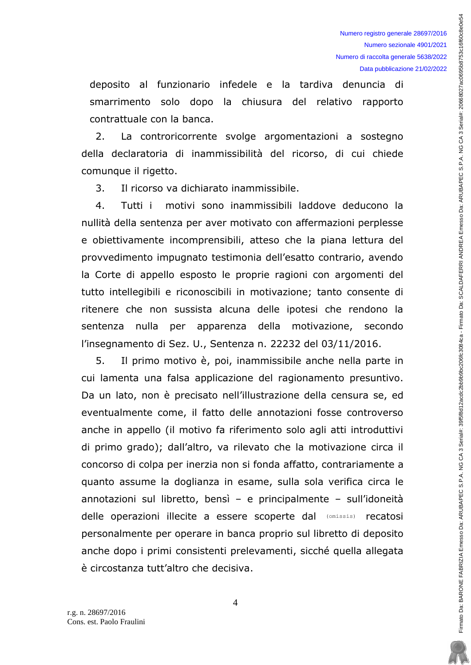deposito al funzionario infedele e la tardiva denuncia di smarrimento solo dopo la chiusura del relativo rapporto contrattuale con la banca.

2. La controricorrente svolge argomentazioni a sostegno della declaratoria di inammissibilità del ricorso, di cui chiede comunque il rigetto.

3. Il ricorso va dichiarato inammissibile.

4. Tutti i motivi sono inammissibili laddove deducono la nullità della sentenza per aver motivato con affermazioni perplesse e obiettivamente incomprensibili, atteso che la piana lettura del provvedimento impugnato testimonia dell'esatto contrario, avendo la Corte di appello esposto le proprie ragioni con argomenti del tutto intellegibili e riconoscibili in motivazione; tanto consente di ritenere che non sussista alcuna delle ipotesi che rendono la sentenza nulla per apparenza della motivazione, secondo l'insegnamento di Sez. U., Sentenza n. 22232 del 03/11/2016.

5. Il primo motivo è, poi, inammissibile anche nella parte in cui lamenta una falsa applicazione del ragionamento presuntivo. Da un lato, non è precisato nell'illustrazione della censura se, ed eventualmente come, il fatto delle annotazioni fosse controverso anche in appello (il motivo fa riferimento solo agli atti introduttivi di primo grado); dall'altro, va rilevato che la motivazione circa il concorso di colpa per inerzia non si fonda affatto, contrariamente a guanto assume la doglianza in esame, sulla sola verifica circa le annotazioni sul libretto, bensì – e principalmente – sull'idoneità delle operazioni illecite a essere scoperte dal (Omissis) recatosi personalmente per operare in banca proprio sul libretto di deposito anche dopo i primi consistenti prelevamenti, sicché quella allegata  $\dot{\mathbf{e}}$  circostanza tutt'altro che decisiva.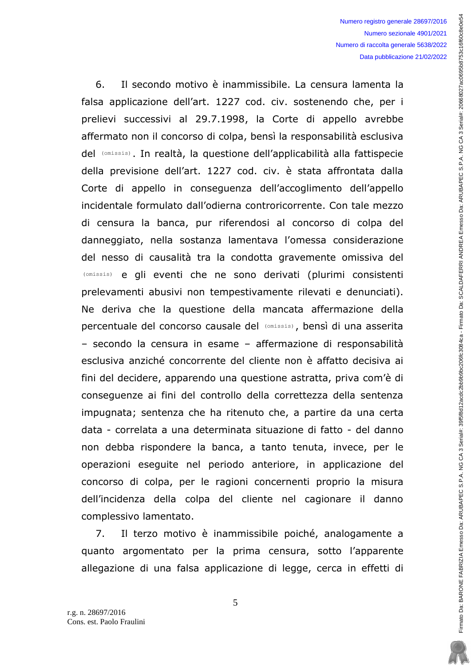6. Il secondo motivo è inammissibile. La censura lamenta la falsa applicazione dell'art. 1227 cod. civ. sostenendo che, per i prelievi successivi al 29.7.1998, la Corte di appello avrebbe affermato non il concorso di colpa, bensì la responsabilità esclusiva del (omissis). In realtà, la questione dell'applicabilità alla fattispecie della previsione dell'art. 1227 cod. civ. è stata affrontata dalla Corte di appello in conseguenza dell'accoglimento dell'appello incidentale formulato dall'odierna controricorrente. Con tale mezzo di censura la banca, pur riferendosi al concorso di colpa del danneggiato, nella sostanza lamentava l'omessa considerazione del nesso di causalità tra la condotta gravemente omissiva del (onissis) e gli eventi che ne sono derivati (plurimi consistenti prelevamenti abusivi non tempestivamente rilevati e denunciati). Ne deriva che la questione della mancata affermazione della percentuale del concorso causale del (omissis), bensì di una asserita - secondo la censura in esame - affermazione di responsabilità esclusiva anziché concorrente del cliente non è affatto decisiva ai fini del decidere, apparendo una questione astratta, priva com'è di consequenze ai fini del controllo della correttezza della sentenza impugnata; sentenza che ha ritenuto che, a partire da una certa data - correlata a una determinata situazione di fatto - del danno non debba rispondere la banca, a tanto tenuta, invece, per le operazioni esequite nel periodo anteriore, in applicazione del concorso di colpa, per le ragioni concernenti proprio la misura dell'incidenza della colpa del cliente nel cagionare il danno complessivo lamentato. <sup>(omissis)</sup> e gli eventi che ne sono deriva<br>prelevamenti abusivi non tempestivamente<br>Ne deriva che la questione della manca<br>percentuale del concorso causale del (omissis)

7. Il terzo motivo è inammissibile poiché, analogamente a quanto argomentato per la prima censura, sotto l'apparente allegazione di una falsa applicazione di legge, cerca in effetti di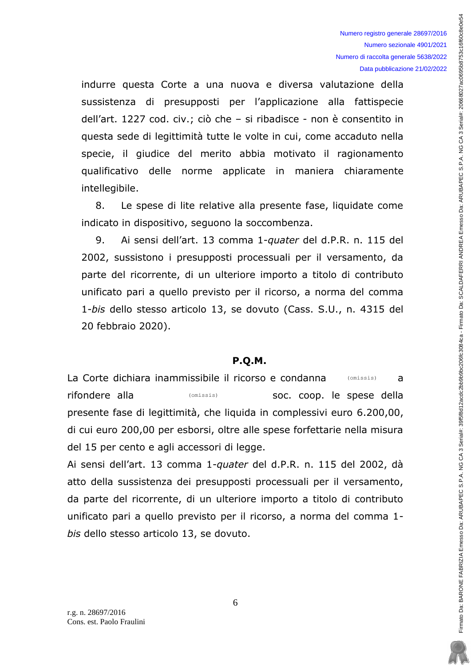indurre questa Corte a una nuova e diversa valutazione della sussistenza di presupposti per l'applicazione alla fattispecie dell'art. 1227 cod. civ.; ciò che – si ribadisce - non è consentito in questa sede di legittimità tutte le volte in cui, come accaduto nella specie, il giudice del merito abbia motivato il ragionamento qualificativo delle norme applicate in maniera chiaramente intellegibile.

8. Le spese di lite relative alla presente fase, liquidate come indicato in dispositivo, seguono la soccombenza.

9. Ai sensi dell'art. 13 comma 1-quater del d.P.R. n. 115 del 2002, sussistono i presupposti processuali per il versamento, da parte del ricorrente, di un ulteriore importo a titolo di contributo unificato pari a quello previsto per il ricorso, a norma del comma 1-bis dello stesso articolo 13, se dovuto (Cass. S.U., n. 4315 del 20 febbraio 2020).

### P.O.M.

La Corte dichiara inammissibile il ricorso e condanna (Omissis) a La Corte dichiara inammissibile il ricorso e condanna (omissis) a<br>Tifondere alla (omissis) (omissis) soc. coop. le spese della presente fase di legittimità, che liguida in complessivi euro 6.200,00, di cui euro 200,00 per esborsi, oltre alle spese forfettarie nella misura del 15 per cento e agli accessori di legge.

Ai sensi dell'art. 13 comma 1-quater del d.P.R. n. 115 del 2002, dà atto della sussistenza dei presupposti processuali per il versamento, da parte del ricorrente, di un ulteriore importo a titolo di contributo unificato pari a quello previsto per il ricorso, a norma del comma 1bis dello stesso articolo 13, se dovuto.